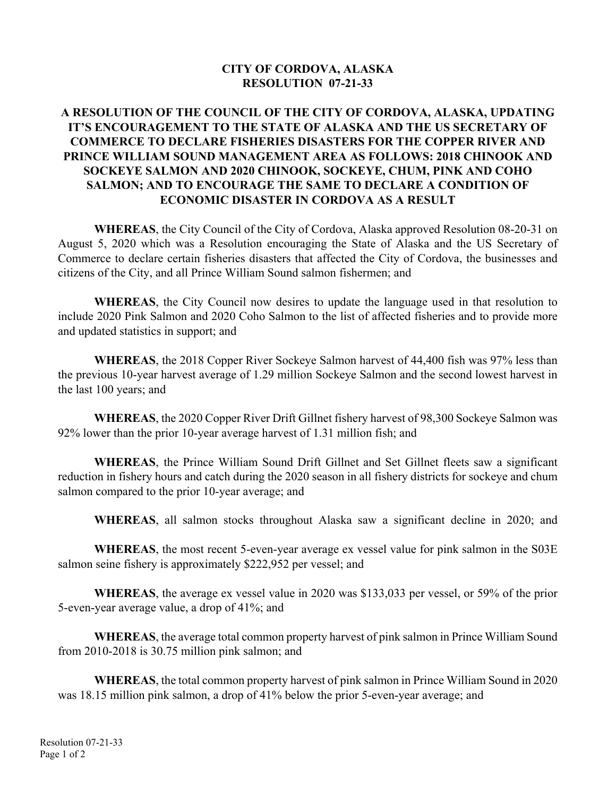## **CITY OF CORDOVA, ALASKA RESOLUTION 07-21-33**

## **A RESOLUTION OF THE COUNCIL OF THE CITY OF CORDOVA, ALASKA, UPDATING IT'S ENCOURAGEMENT TO THE STATE OF ALASKA AND THE US SECRETARY OF COMMERCE TO DECLARE FISHERIES DISASTERS FOR THE COPPER RIVER AND PRINCE WILLIAM SOUND MANAGEMENT AREA AS FOLLOWS: 2018 CHINOOK AND SOCKEYE SALMON AND 2020 CHINOOK, SOCKEYE, CHUM, PINK AND COHO SALMON; AND TO ENCOURAGE THE SAME TO DECLARE A CONDITION OF ECONOMIC DISASTER IN CORDOVA AS A RESULT**

**WHEREAS**, the City Council of the City of Cordova, Alaska approved Resolution 08-20-31 on August 5, 2020 which was a Resolution encouraging the State of Alaska and the US Secretary of Commerce to declare certain fisheries disasters that affected the City of Cordova, the businesses and citizens of the City, and all Prince William Sound salmon fishermen; and

**WHEREAS**, the City Council now desires to update the language used in that resolution to include 2020 Pink Salmon and 2020 Coho Salmon to the list of affected fisheries and to provide more and updated statistics in support; and

**WHEREAS**, the 2018 Copper River Sockeye Salmon harvest of 44,400 fish was 97% less than the previous 10-year harvest average of 1.29 million Sockeye Salmon and the second lowest harvest in the last 100 years; and

 **WHEREAS**, the 2020 Copper River Drift Gillnet fishery harvest of 98,300 Sockeye Salmon was 92% lower than the prior 10-year average harvest of 1.31 million fish; and

**WHEREAS**, the Prince William Sound Drift Gillnet and Set Gillnet fleets saw a significant reduction in fishery hours and catch during the 2020 season in all fishery districts for sockeye and chum salmon compared to the prior 10-year average; and

**WHEREAS**, all salmon stocks throughout Alaska saw a significant decline in 2020; and

 **WHEREAS**, the most recent 5-even-year average ex vessel value for pink salmon in the S03E salmon seine fishery is approximately \$222,952 per vessel; and

**WHEREAS**, the average ex vessel value in 2020 was \$133,033 per vessel, or 59% of the prior 5-even-year average value, a drop of 41%; and

**WHEREAS**, the average total common property harvest of pink salmon in Prince William Sound from 2010-2018 is 30.75 million pink salmon; and

 **WHEREAS**, the total common property harvest of pink salmon in Prince William Sound in 2020 was 18.15 million pink salmon, a drop of 41% below the prior 5-even-year average; and